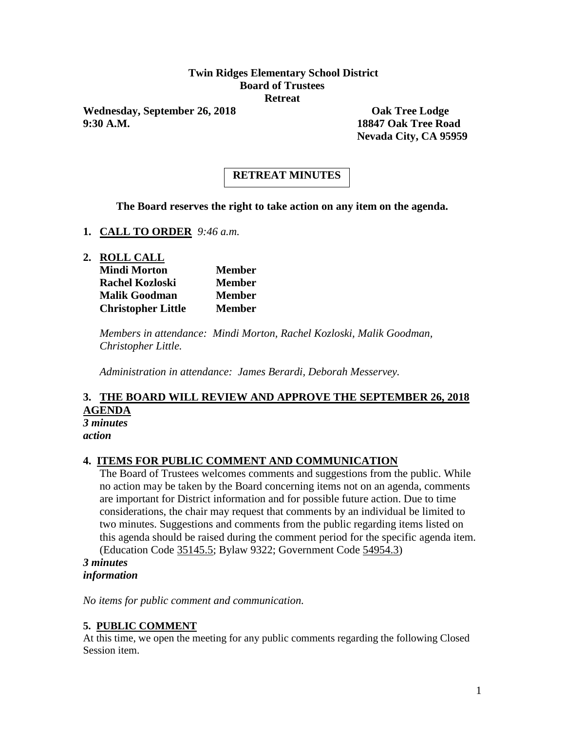## **Twin Ridges Elementary School District Board of Trustees Retreat**

Wednesday, September 26, 2018 **Oak Tree Lodge 9:30 A.M. 18847 Oak Tree Road**

**Nevada City, CA 95959**

# **RETREAT MINUTES**

**The Board reserves the right to take action on any item on the agenda.**

- **1. CALL TO ORDER** *9:46 a.m.*
- **2. ROLL CALL**

| <b>Mindi Morton</b>       | <b>Member</b> |
|---------------------------|---------------|
| <b>Rachel Kozloski</b>    | <b>Member</b> |
| <b>Malik Goodman</b>      | <b>Member</b> |
| <b>Christopher Little</b> | Member        |

*Members in attendance: Mindi Morton, Rachel Kozloski, Malik Goodman, Christopher Little.*

*Administration in attendance: James Berardi, Deborah Messervey.*

#### **3. THE BOARD WILL REVIEW AND APPROVE THE SEPTEMBER 26, 2018 AGENDA** *3 minutes*

*action*

#### **4. ITEMS FOR PUBLIC COMMENT AND COMMUNICATION**

The Board of Trustees welcomes comments and suggestions from the public. While no action may be taken by the Board concerning items not on an agenda, comments are important for District information and for possible future action. Due to time considerations, the chair may request that comments by an individual be limited to two minutes. Suggestions and comments from the public regarding items listed on this agenda should be raised during the comment period for the specific agenda item. (Education Code 35145.5; Bylaw 9322; Government Code 54954.3)

*3 minutes information*

*No items for public comment and communication.*

#### **5. PUBLIC COMMENT**

At this time, we open the meeting for any public comments regarding the following Closed Session item.